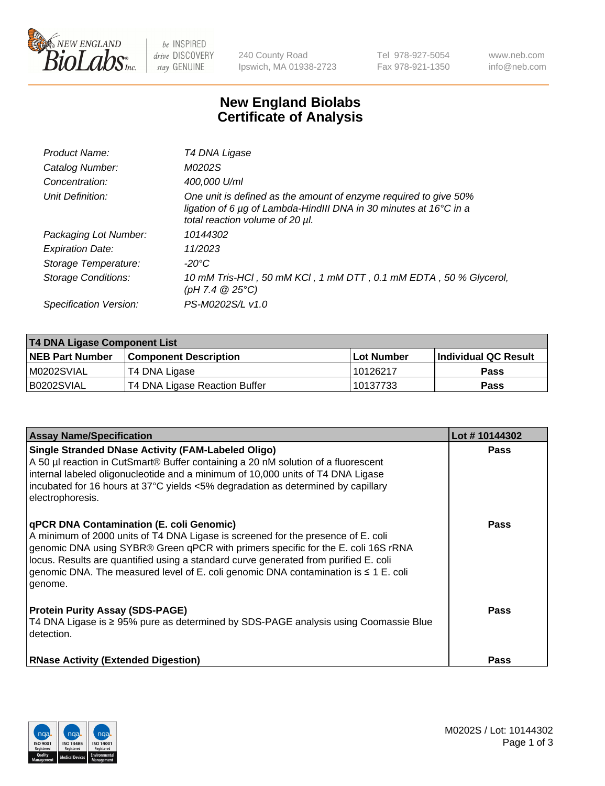

 $be$  INSPIRED drive DISCOVERY stay GENUINE

240 County Road Ipswich, MA 01938-2723 Tel 978-927-5054 Fax 978-921-1350 www.neb.com info@neb.com

## **New England Biolabs Certificate of Analysis**

| Product Name:              | T4 DNA Ligase                                                                                                                                                            |
|----------------------------|--------------------------------------------------------------------------------------------------------------------------------------------------------------------------|
| Catalog Number:            | M0202S                                                                                                                                                                   |
| Concentration:             | 400,000 U/ml                                                                                                                                                             |
| Unit Definition:           | One unit is defined as the amount of enzyme required to give 50%<br>ligation of 6 µg of Lambda-HindIII DNA in 30 minutes at 16°C in a<br>total reaction volume of 20 µl. |
| Packaging Lot Number:      | 10144302                                                                                                                                                                 |
| <b>Expiration Date:</b>    | 11/2023                                                                                                                                                                  |
| Storage Temperature:       | -20°C                                                                                                                                                                    |
| <b>Storage Conditions:</b> | 10 mM Tris-HCl, 50 mM KCl, 1 mM DTT, 0.1 mM EDTA, 50 % Glycerol,<br>(pH 7.4 $@25°C$ )                                                                                    |
| Specification Version:     | PS-M0202S/L v1.0                                                                                                                                                         |

| <b>T4 DNA Ligase Component List</b> |                               |            |                             |  |
|-------------------------------------|-------------------------------|------------|-----------------------------|--|
| <b>NEB Part Number</b>              | <b>Component Description</b>  | Lot Number | <b>Individual QC Result</b> |  |
| M0202SVIAL                          | T4 DNA Ligase                 | 10126217   | Pass                        |  |
| B0202SVIAL                          | T4 DNA Ligase Reaction Buffer | 10137733   | <b>Pass</b>                 |  |

| <b>Assay Name/Specification</b>                                                                                                                                                                                                                                                                                                                                                                             | Lot #10144302 |
|-------------------------------------------------------------------------------------------------------------------------------------------------------------------------------------------------------------------------------------------------------------------------------------------------------------------------------------------------------------------------------------------------------------|---------------|
| <b>Single Stranded DNase Activity (FAM-Labeled Oligo)</b><br>A 50 µl reaction in CutSmart® Buffer containing a 20 nM solution of a fluorescent<br>internal labeled oligonucleotide and a minimum of 10,000 units of T4 DNA Ligase<br>incubated for 16 hours at 37°C yields <5% degradation as determined by capillary<br>electrophoresis.                                                                   | <b>Pass</b>   |
| qPCR DNA Contamination (E. coli Genomic)<br>A minimum of 2000 units of T4 DNA Ligase is screened for the presence of E. coli<br>genomic DNA using SYBR® Green qPCR with primers specific for the E. coli 16S rRNA<br>locus. Results are quantified using a standard curve generated from purified E. coli<br>genomic DNA. The measured level of E. coli genomic DNA contamination is ≤ 1 E. coli<br>genome. | <b>Pass</b>   |
| <b>Protein Purity Assay (SDS-PAGE)</b><br>T4 DNA Ligase is ≥ 95% pure as determined by SDS-PAGE analysis using Coomassie Blue<br>detection.                                                                                                                                                                                                                                                                 | Pass          |
| <b>RNase Activity (Extended Digestion)</b>                                                                                                                                                                                                                                                                                                                                                                  | <b>Pass</b>   |

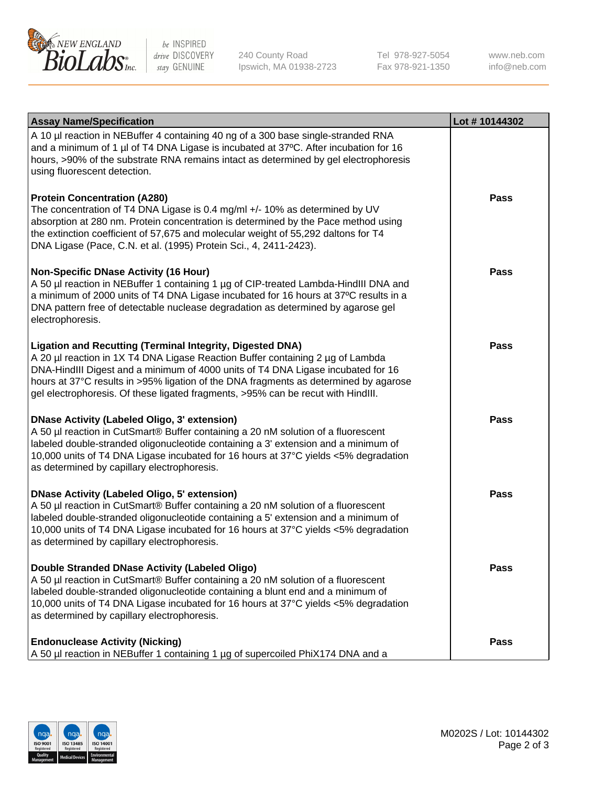

be INSPIRED drive DISCOVERY stay GENUINE

240 County Road Ipswich, MA 01938-2723 Tel 978-927-5054 Fax 978-921-1350

www.neb.com info@neb.com

| <b>Assay Name/Specification</b>                                                                                                                                                                                                                                                                                                                                                                                    | Lot #10144302 |
|--------------------------------------------------------------------------------------------------------------------------------------------------------------------------------------------------------------------------------------------------------------------------------------------------------------------------------------------------------------------------------------------------------------------|---------------|
| A 10 µl reaction in NEBuffer 4 containing 40 ng of a 300 base single-stranded RNA<br>and a minimum of 1 µl of T4 DNA Ligase is incubated at 37°C. After incubation for 16<br>hours, >90% of the substrate RNA remains intact as determined by gel electrophoresis<br>using fluorescent detection.                                                                                                                  |               |
| <b>Protein Concentration (A280)</b><br>The concentration of T4 DNA Ligase is 0.4 mg/ml +/- 10% as determined by UV<br>absorption at 280 nm. Protein concentration is determined by the Pace method using<br>the extinction coefficient of 57,675 and molecular weight of 55,292 daltons for T4<br>DNA Ligase (Pace, C.N. et al. (1995) Protein Sci., 4, 2411-2423).                                                | Pass          |
| <b>Non-Specific DNase Activity (16 Hour)</b><br>A 50 µl reaction in NEBuffer 1 containing 1 µg of CIP-treated Lambda-HindIII DNA and<br>a minimum of 2000 units of T4 DNA Ligase incubated for 16 hours at 37°C results in a<br>DNA pattern free of detectable nuclease degradation as determined by agarose gel<br>electrophoresis.                                                                               | Pass          |
| <b>Ligation and Recutting (Terminal Integrity, Digested DNA)</b><br>A 20 µl reaction in 1X T4 DNA Ligase Reaction Buffer containing 2 µg of Lambda<br>DNA-HindIII Digest and a minimum of 4000 units of T4 DNA Ligase incubated for 16<br>hours at 37°C results in >95% ligation of the DNA fragments as determined by agarose<br>gel electrophoresis. Of these ligated fragments, >95% can be recut with HindIII. | <b>Pass</b>   |
| <b>DNase Activity (Labeled Oligo, 3' extension)</b><br>A 50 µl reaction in CutSmart® Buffer containing a 20 nM solution of a fluorescent<br>labeled double-stranded oligonucleotide containing a 3' extension and a minimum of<br>10,000 units of T4 DNA Ligase incubated for 16 hours at 37°C yields <5% degradation<br>as determined by capillary electrophoresis.                                               | <b>Pass</b>   |
| <b>DNase Activity (Labeled Oligo, 5' extension)</b><br>A 50 µl reaction in CutSmart® Buffer containing a 20 nM solution of a fluorescent<br>labeled double-stranded oligonucleotide containing a 5' extension and a minimum of<br>10,000 units of T4 DNA Ligase incubated for 16 hours at 37°C yields <5% degradation<br>as determined by capillary electrophoresis.                                               | Pass          |
| Double Stranded DNase Activity (Labeled Oligo)<br>A 50 µl reaction in CutSmart® Buffer containing a 20 nM solution of a fluorescent<br>labeled double-stranded oligonucleotide containing a blunt end and a minimum of<br>10,000 units of T4 DNA Ligase incubated for 16 hours at 37°C yields <5% degradation<br>as determined by capillary electrophoresis.                                                       | Pass          |
| <b>Endonuclease Activity (Nicking)</b><br>A 50 µl reaction in NEBuffer 1 containing 1 µg of supercoiled PhiX174 DNA and a                                                                                                                                                                                                                                                                                          | Pass          |